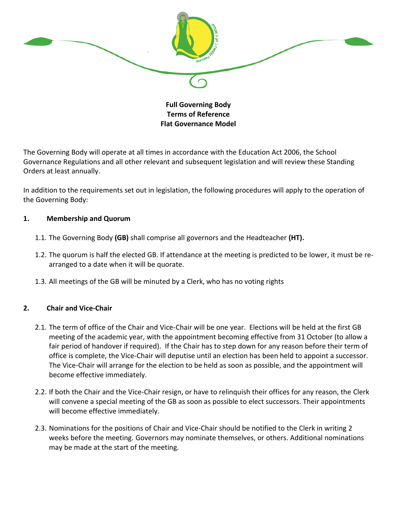

# **Full Governing Body Terms of Reference Flat Governance Model**

The Governing Body will operate at all times in accordance with the Education Act 2006, the School Governance Regulations and all other relevant and subsequent legislation and will review these Standing Orders at least annually.

In addition to the requirements set out in legislation, the following procedures will apply to the operation of the Governing Body:

## **1. Membership and Quorum**

- 1.1. The Governing Body **(GB)** shall comprise all governors and the Headteacher **(HT).**
- 1.2. The quorum is half the elected GB. If attendance at the meeting is predicted to be lower, it must be rearranged to a date when it will be quorate.
- 1.3. All meetings of the GB will be minuted by a Clerk, who has no voting rights

# **2. Chair and Vice-Chair**

- 2.1. The term of office of the Chair and Vice-Chair will be one year. Elections will be held at the first GB meeting of the academic year, with the appointment becoming effective from 31 October (to allow a fair period of handover if required). If the Chair has to step down for any reason before their term of office is complete, the Vice-Chair will deputise until an election has been held to appoint a successor. The Vice-Chair will arrange for the election to be held as soon as possible, and the appointment will become effective immediately.
- 2.2. If both the Chair and the Vice-Chair resign, or have to relinquish their offices for any reason, the Clerk will convene a special meeting of the GB as soon as possible to elect successors. Their appointments will become effective immediately.
- 2.3. Nominations for the positions of Chair and Vice-Chair should be notified to the Clerk in writing 2 weeks before the meeting. Governors may nominate themselves, or others. Additional nominations may be made at the start of the meeting.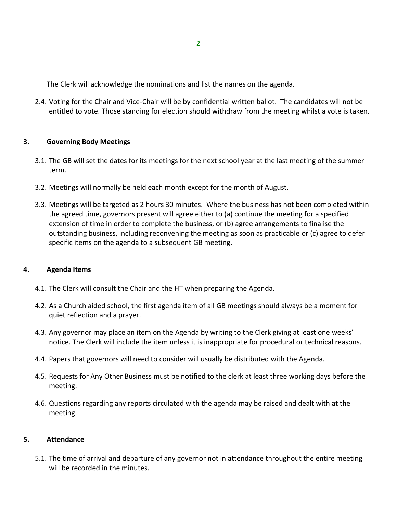The Clerk will acknowledge the nominations and list the names on the agenda.

2.4. Voting for the Chair and Vice-Chair will be by confidential written ballot. The candidates will not be entitled to vote. Those standing for election should withdraw from the meeting whilst a vote is taken.

## **3. Governing Body Meetings**

- 3.1. The GB will set the dates for its meetings for the next school year at the last meeting of the summer term.
- 3.2. Meetings will normally be held each month except for the month of August.
- 3.3. Meetings will be targeted as 2 hours 30 minutes. Where the business has not been completed within the agreed time, governors present will agree either to (a) continue the meeting for a specified extension of time in order to complete the business, or (b) agree arrangements to finalise the outstanding business, including reconvening the meeting as soon as practicable or (c) agree to defer specific items on the agenda to a subsequent GB meeting.

## **4. Agenda Items**

- 4.1. The Clerk will consult the Chair and the HT when preparing the Agenda.
- 4.2. As a Church aided school, the first agenda item of all GB meetings should always be a moment for quiet reflection and a prayer.
- 4.3. Any governor may place an item on the Agenda by writing to the Clerk giving at least one weeks' notice. The Clerk will include the item unless it is inappropriate for procedural or technical reasons.
- 4.4. Papers that governors will need to consider will usually be distributed with the Agenda.
- 4.5. Requests for Any Other Business must be notified to the clerk at least three working days before the meeting.
- 4.6. Questions regarding any reports circulated with the agenda may be raised and dealt with at the meeting.

## **5. Attendance**

5.1. The time of arrival and departure of any governor not in attendance throughout the entire meeting will be recorded in the minutes.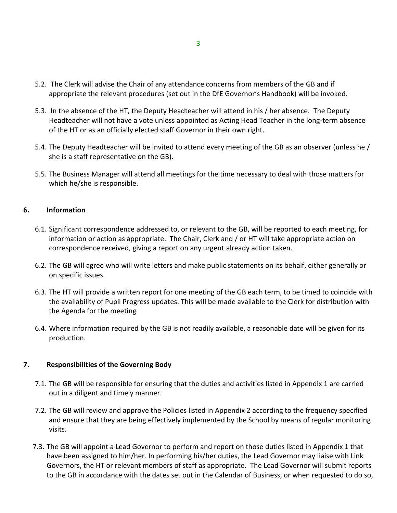- 5.2. The Clerk will advise the Chair of any attendance concerns from members of the GB and if appropriate the relevant procedures (set out in the DfE Governor's Handbook) will be invoked.
- 5.3. In the absence of the HT, the Deputy Headteacher will attend in his / her absence. The Deputy Headteacher will not have a vote unless appointed as Acting Head Teacher in the long-term absence of the HT or as an officially elected staff Governor in their own right.
- 5.4. The Deputy Headteacher will be invited to attend every meeting of the GB as an observer (unless he / she is a staff representative on the GB).
- 5.5. The Business Manager will attend all meetings for the time necessary to deal with those matters for which he/she is responsible.

## **6. Information**

- 6.1. Significant correspondence addressed to, or relevant to the GB, will be reported to each meeting, for information or action as appropriate. The Chair, Clerk and / or HT will take appropriate action on correspondence received, giving a report on any urgent already action taken.
- 6.2. The GB will agree who will write letters and make public statements on its behalf, either generally or on specific issues.
- 6.3. The HT will provide a written report for one meeting of the GB each term, to be timed to coincide with the availability of Pupil Progress updates. This will be made available to the Clerk for distribution with the Agenda for the meeting
- 6.4. Where information required by the GB is not readily available, a reasonable date will be given for its production.

## **7. Responsibilities of the Governing Body**

- 7.1. The GB will be responsible for ensuring that the duties and activities listed in Appendix 1 are carried out in a diligent and timely manner.
- 7.2. The GB will review and approve the Policies listed in Appendix 2 according to the frequency specified and ensure that they are being effectively implemented by the School by means of regular monitoring visits.
- 7.3. The GB will appoint a Lead Governor to perform and report on those duties listed in Appendix 1 that have been assigned to him/her. In performing his/her duties, the Lead Governor may liaise with Link Governors, the HT or relevant members of staff as appropriate. The Lead Governor will submit reports to the GB in accordance with the dates set out in the Calendar of Business, or when requested to do so,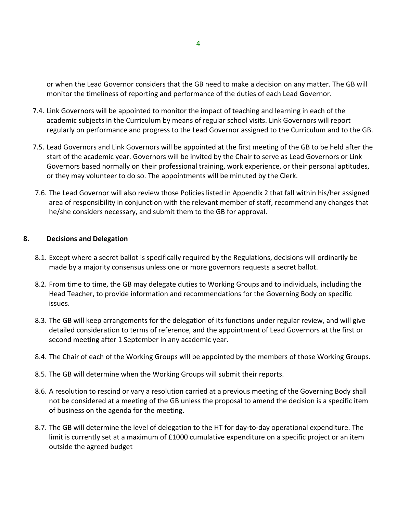or when the Lead Governor considers that the GB need to make a decision on any matter. The GB will monitor the timeliness of reporting and performance of the duties of each Lead Governor.

- 7.4. Link Governors will be appointed to monitor the impact of teaching and learning in each of the academic subjects in the Curriculum by means of regular school visits. Link Governors will report regularly on performance and progress to the Lead Governor assigned to the Curriculum and to the GB.
- 7.5. Lead Governors and Link Governors will be appointed at the first meeting of the GB to be held after the start of the academic year. Governors will be invited by the Chair to serve as Lead Governors or Link Governors based normally on their professional training, work experience, or their personal aptitudes, or they may volunteer to do so. The appointments will be minuted by the Clerk.
- 7.6. The Lead Governor will also review those Policies listed in Appendix 2 that fall within his/her assigned area of responsibility in conjunction with the relevant member of staff, recommend any changes that he/she considers necessary, and submit them to the GB for approval.

## **8. Decisions and Delegation**

- 8.1. Except where a secret ballot is specifically required by the Regulations, decisions will ordinarily be made by a majority consensus unless one or more governors requests a secret ballot.
- 8.2. From time to time, the GB may delegate duties to Working Groups and to individuals, including the Head Teacher, to provide information and recommendations for the Governing Body on specific issues.
- 8.3. The GB will keep arrangements for the delegation of its functions under regular review, and will give detailed consideration to terms of reference, and the appointment of Lead Governors at the first or second meeting after 1 September in any academic year.
- 8.4. The Chair of each of the Working Groups will be appointed by the members of those Working Groups.
- 8.5. The GB will determine when the Working Groups will submit their reports.
- 8.6. A resolution to rescind or vary a resolution carried at a previous meeting of the Governing Body shall not be considered at a meeting of the GB unless the proposal to amend the decision is a specific item of business on the agenda for the meeting.
- 8.7. The GB will determine the level of delegation to the HT for day-to-day operational expenditure. The limit is currently set at a maximum of £1000 cumulative expenditure on a specific project or an item outside the agreed budget